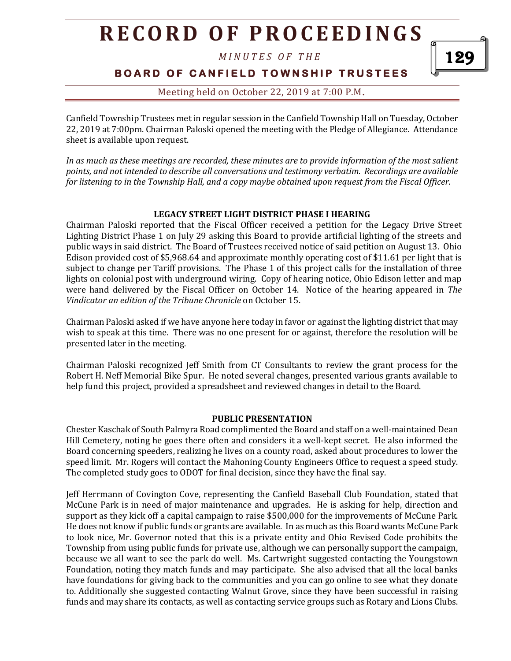*M I N U T E S O F T H E* 

129

**BOARD OF CANFIELD TOWNSHIP TRUSTEES** 

Meeting held on October 22, 2019 at 7:00 P.M**.**

Canfield Township Trustees met in regular session in the Canfield Township Hall on Tuesday, October 22, 2019 at 7:00pm. Chairman Paloski opened the meeting with the Pledge of Allegiance. Attendance sheet is available upon request.

*In as much as these meetings are recorded, these minutes are to provide information of the most salient points, and not intended to describe all conversations and testimony verbatim. Recordings are available for listening to in the Township Hall, and a copy maybe obtained upon request from the Fiscal Officer.* 

#### **LEGACY STREET LIGHT DISTRICT PHASE I HEARING**

Chairman Paloski reported that the Fiscal Officer received a petition for the Legacy Drive Street Lighting District Phase 1 on July 29 asking this Board to provide artificial lighting of the streets and public ways in said district. The Board of Trustees received notice of said petition on August 13. Ohio Edison provided cost of \$5,968.64 and approximate monthly operating cost of \$11.61 per light that is subject to change per Tariff provisions. The Phase 1 of this project calls for the installation of three lights on colonial post with underground wiring. Copy of hearing notice, Ohio Edison letter and map were hand delivered by the Fiscal Officer on October 14. Notice of the hearing appeared in *The Vindicator an edition of the Tribune Chronicle* on October 15.

Chairman Paloski asked if we have anyone here today in favor or against the lighting district that may wish to speak at this time. There was no one present for or against, therefore the resolution will be presented later in the meeting.

Chairman Paloski recognized Jeff Smith from CT Consultants to review the grant process for the Robert H. Neff Memorial Bike Spur. He noted several changes, presented various grants available to help fund this project, provided a spreadsheet and reviewed changes in detail to the Board.

#### **PUBLIC PRESENTATION**

Chester Kaschak of South Palmyra Road complimented the Board and staff on a well-maintained Dean Hill Cemetery, noting he goes there often and considers it a well-kept secret. He also informed the Board concerning speeders, realizing he lives on a county road, asked about procedures to lower the speed limit. Mr. Rogers will contact the Mahoning County Engineers Office to request a speed study. The completed study goes to ODOT for final decision, since they have the final say.

Jeff Herrmann of Covington Cove, representing the Canfield Baseball Club Foundation, stated that McCune Park is in need of major maintenance and upgrades. He is asking for help, direction and support as they kick off a capital campaign to raise \$500,000 for the improvements of McCune Park. He does not know if public funds or grants are available. In as much as this Board wants McCune Park to look nice, Mr. Governor noted that this is a private entity and Ohio Revised Code prohibits the Township from using public funds for private use, although we can personally support the campaign, because we all want to see the park do well. Ms. Cartwright suggested contacting the Youngstown Foundation, noting they match funds and may participate. She also advised that all the local banks have foundations for giving back to the communities and you can go online to see what they donate to. Additionally she suggested contacting Walnut Grove, since they have been successful in raising funds and may share its contacts, as well as contacting service groups such as Rotary and Lions Clubs.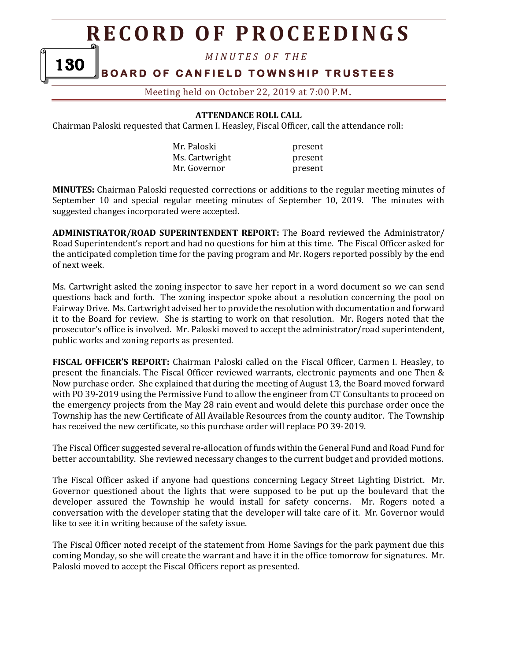*M I N U T E S O F T H E* 

## **BOARD OF CANFIELD TOWNSHIP TRUSTEES**

130

Meeting held on October 22, 2019 at 7:00 P.M**.**

**ATTENDANCE ROLL CALL**

Chairman Paloski requested that Carmen I. Heasley, Fiscal Officer, call the attendance roll:

| Mr. Paloski    | present |
|----------------|---------|
| Ms. Cartwright | present |
| Mr. Governor   | present |

**MINUTES:** Chairman Paloski requested corrections or additions to the regular meeting minutes of September 10 and special regular meeting minutes of September 10, 2019. The minutes with suggested changes incorporated were accepted.

**ADMINISTRATOR/ROAD SUPERINTENDENT REPORT:** The Board reviewed the Administrator/ Road Superintendent's report and had no questions for him at this time.The Fiscal Officer asked for the anticipated completion time for the paving program and Mr. Rogers reported possibly by the end of next week.

Ms. Cartwright asked the zoning inspector to save her report in a word document so we can send questions back and forth. The zoning inspector spoke about a resolution concerning the pool on Fairway Drive. Ms. Cartwright advised her to provide the resolution with documentation and forward it to the Board for review. She is starting to work on that resolution. Mr. Rogers noted that the prosecutor's office is involved. Mr. Paloski moved to accept the administrator/road superintendent, public works and zoning reports as presented.

**FISCAL OFFICER'S REPORT:** Chairman Paloski called on the Fiscal Officer, Carmen I. Heasley, to present the financials. The Fiscal Officer reviewed warrants, electronic payments and one Then & Now purchase order. She explained that during the meeting of August 13, the Board moved forward with PO 39-2019 using the Permissive Fund to allow the engineer from CT Consultants to proceed on the emergency projects from the May 28 rain event and would delete this purchase order once the Township has the new Certificate of All Available Resources from the county auditor. The Township has received the new certificate, so this purchase order will replace PO 39-2019.

The Fiscal Officer suggested several re-allocation of funds within the General Fund and Road Fund for better accountability. She reviewed necessary changes to the current budget and provided motions.

The Fiscal Officer asked if anyone had questions concerning Legacy Street Lighting District. Mr. Governor questioned about the lights that were supposed to be put up the boulevard that the developer assured the Township he would install for safety concerns. Mr. Rogers noted a conversation with the developer stating that the developer will take care of it. Mr. Governor would like to see it in writing because of the safety issue.

The Fiscal Officer noted receipt of the statement from Home Savings for the park payment due this coming Monday, so she will create the warrant and have it in the office tomorrow for signatures. Mr. Paloski moved to accept the Fiscal Officers report as presented.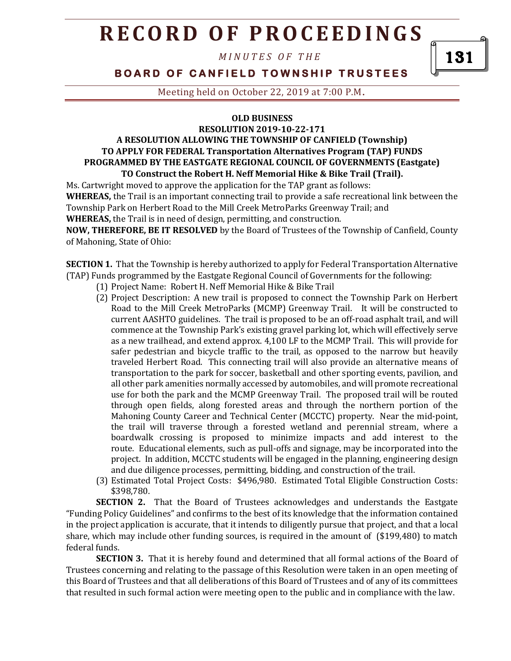*M I N U T E S O F T H E* 

**BOARD OF CANFIELD TOWNSHIP TRUSTEES** 

Meeting held on October 22, 2019 at 7:00 P.M**.**

#### **OLD BUSINESS**

### **RESOLUTION 2019-10-22-171 A RESOLUTION ALLOWING THE TOWNSHIP OF CANFIELD (Township) TO APPLY FOR FEDERAL Transportation Alternatives Program (TAP) FUNDS PROGRAMMED BY THE EASTGATE REGIONAL COUNCIL OF GOVERNMENTS (Eastgate) TO Construct the Robert H. Neff Memorial Hike & Bike Trail (Trail).**

Ms. Cartwright moved to approve the application for the TAP grant as follows: **WHEREAS,** the Trail is an important connecting trail to provide a safe recreational link between the Township Park on Herbert Road to the Mill Creek MetroParks Greenway Trail; and

**WHEREAS,** the Trail is in need of design, permitting, and construction.

**NOW, THEREFORE, BE IT RESOLVED** by the Board of Trustees of the Township of Canfield, County of Mahoning, State of Ohio:

**SECTION 1.** That the Township is hereby authorized to apply for Federal Transportation Alternative (TAP) Funds programmed by the Eastgate Regional Council of Governments for the following:

- (1) Project Name: Robert H. Neff Memorial Hike & Bike Trail
- (2) Project Description: A new trail is proposed to connect the Township Park on Herbert Road to the Mill Creek MetroParks (MCMP) Greenway Trail. It will be constructed to current AASHTO guidelines. The trail is proposed to be an off-road asphalt trail, and will commence at the Township Park's existing gravel parking lot, which will effectively serve as a new trailhead, and extend approx. 4,100 LF to the MCMP Trail. This will provide for safer pedestrian and bicycle traffic to the trail, as opposed to the narrow but heavily traveled Herbert Road. This connecting trail will also provide an alternative means of transportation to the park for soccer, basketball and other sporting events, pavilion, and all other park amenities normally accessed by automobiles, and will promote recreational use for both the park and the MCMP Greenway Trail. The proposed trail will be routed through open fields, along forested areas and through the northern portion of the Mahoning County Career and Technical Center (MCCTC) property. Near the mid-point, the trail will traverse through a forested wetland and perennial stream, where a boardwalk crossing is proposed to minimize impacts and add interest to the route. Educational elements, such as pull-offs and signage, may be incorporated into the project. In addition, MCCTC students will be engaged in the planning, engineering design and due diligence processes, permitting, bidding, and construction of the trail.
- (3) Estimated Total Project Costs: \$496,980. Estimated Total Eligible Construction Costs: \$398,780.

**SECTION 2.** That the Board of Trustees acknowledges and understands the Eastgate "Funding Policy Guidelines" and confirms to the best of its knowledge that the information contained in the project application is accurate, that it intends to diligently pursue that project, and that a local share, which may include other funding sources, is required in the amount of (\$199,480) to match federal funds.

**SECTION 3.** That it is hereby found and determined that all formal actions of the Board of Trustees concerning and relating to the passage of this Resolution were taken in an open meeting of this Board of Trustees and that all deliberations of this Board of Trustees and of any of its committees that resulted in such formal action were meeting open to the public and in compliance with the law.

131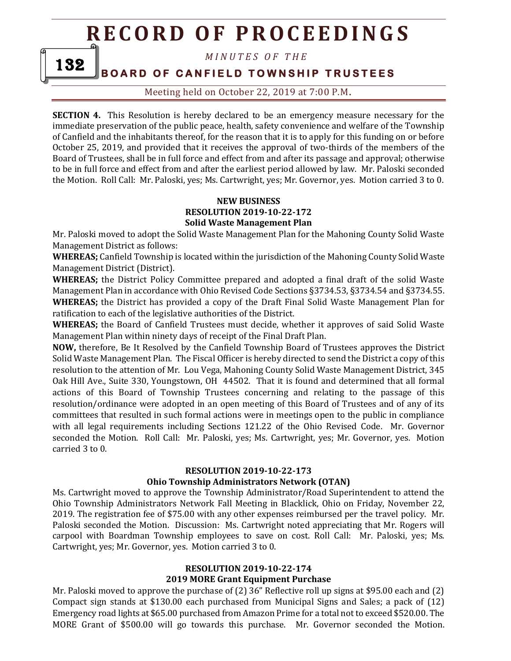*M I N U T E S O F T H E* 

**BOARD OF CANFIELD TOWNSHIP TRUSTEES** 

132

Meeting held on October 22, 2019 at 7:00 P.M**.**

**SECTION 4.** This Resolution is hereby declared to be an emergency measure necessary for the immediate preservation of the public peace, health, safety convenience and welfare of the Township of Canfield and the inhabitants thereof, for the reason that it is to apply for this funding on or before October 25, 2019, and provided that it receives the approval of two-thirds of the members of the Board of Trustees, shall be in full force and effect from and after its passage and approval; otherwise to be in full force and effect from and after the earliest period allowed by law. Mr. Paloski seconded the Motion. Roll Call: Mr. Paloski, yes; Ms. Cartwright, yes; Mr. Governor, yes. Motion carried 3 to 0.

#### **NEW BUSINESS RESOLUTION 2019-10-22-172 Solid Waste Management Plan**

Mr. Paloski moved to adopt the Solid Waste Management Plan for the Mahoning County Solid Waste Management District as follows:

**WHEREAS;** Canfield Township is located within the jurisdiction of the Mahoning County Solid Waste Management District (District).

**WHEREAS;** the District Policy Committee prepared and adopted a final draft of the solid Waste Management Plan in accordance with Ohio Revised Code Sections §3734.53, §3734.54 and §3734.55. **WHEREAS;** the District has provided a copy of the Draft Final Solid Waste Management Plan for ratification to each of the legislative authorities of the District.

**WHEREAS;** the Board of Canfield Trustees must decide, whether it approves of said Solid Waste Management Plan within ninety days of receipt of the Final Draft Plan.

**NOW,** therefore, Be It Resolved by the Canfield Township Board of Trustees approves the District Solid Waste Management Plan. The Fiscal Officer is hereby directed to send the District a copy of this resolution to the attention of Mr. Lou Vega, Mahoning County Solid Waste Management District, 345 Oak Hill Ave., Suite 330, Youngstown, OH 44502. That it is found and determined that all formal actions of this Board of Township Trustees concerning and relating to the passage of this resolution/ordinance were adopted in an open meeting of this Board of Trustees and of any of its committees that resulted in such formal actions were in meetings open to the public in compliance with all legal requirements including Sections 121.22 of the Ohio Revised Code. Mr. Governor seconded the Motion. Roll Call: Mr. Paloski, yes; Ms. Cartwright, yes; Mr. Governor, yes. Motion carried 3 to 0.

#### **RESOLUTION 2019-10-22-173**

#### **Ohio Township Administrators Network (OTAN)**

Ms. Cartwright moved to approve the Township Administrator/Road Superintendent to attend the Ohio Township Administrators Network Fall Meeting in Blacklick, Ohio on Friday, November 22, 2019. The registration fee of \$75.00 with any other expenses reimbursed per the travel policy. Mr. Paloski seconded the Motion. Discussion: Ms. Cartwright noted appreciating that Mr. Rogers will carpool with Boardman Township employees to save on cost. Roll Call: Mr. Paloski, yes; Ms. Cartwright, yes; Mr. Governor, yes. Motion carried 3 to 0.

#### **RESOLUTION 2019-10-22-174 2019 MORE Grant Equipment Purchase**

Mr. Paloski moved to approve the purchase of (2) 36" Reflective roll up signs at \$95.00 each and (2) Compact sign stands at \$130.00 each purchased from Municipal Signs and Sales; a pack of (12) Emergency road lights at \$65.00 purchased from Amazon Prime for a total not to exceed \$520.00. The MORE Grant of \$500.00 will go towards this purchase. Mr. Governor seconded the Motion.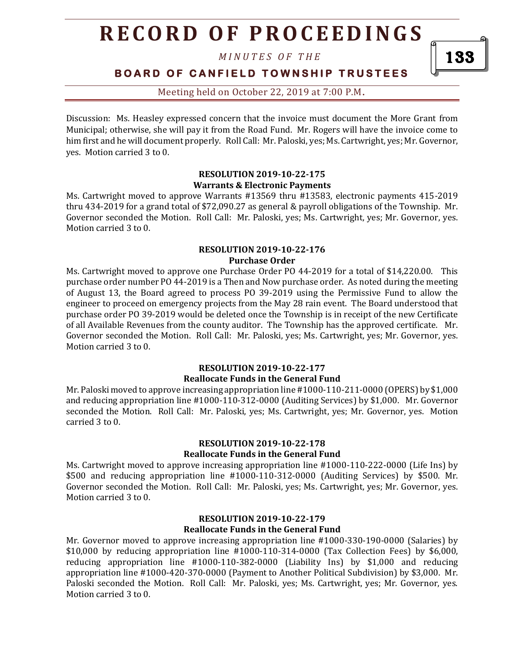*M I N U T E S O F T H E* 

**BOARD OF CANFIELD TOWNSHIP TRUSTEES** 

Meeting held on October 22, 2019 at 7:00 P.M**.**

Discussion: Ms. Heasley expressed concern that the invoice must document the More Grant from Municipal; otherwise, she will pay it from the Road Fund. Mr. Rogers will have the invoice come to him first and he will document properly. Roll Call: Mr. Paloski, yes; Ms. Cartwright, yes; Mr. Governor, yes. Motion carried 3 to 0.

#### **RESOLUTION 2019-10-22-175 Warrants & Electronic Payments**

Ms. Cartwright moved to approve Warrants #13569 thru #13583, electronic payments 415-2019 thru 434-2019 for a grand total of \$72,090.27 as general & payroll obligations of the Township. Mr. Governor seconded the Motion. Roll Call: Mr. Paloski, yes; Ms. Cartwright, yes; Mr. Governor, yes. Motion carried 3 to 0.

#### **RESOLUTION 2019-10-22-176 Purchase Order**

Ms. Cartwright moved to approve one Purchase Order PO 44-2019 for a total of \$14,220.00. This purchase order number PO 44-2019 is a Then and Now purchase order. As noted during the meeting of August 13, the Board agreed to process PO 39-2019 using the Permissive Fund to allow the engineer to proceed on emergency projects from the May 28 rain event. The Board understood that purchase order PO 39-2019 would be deleted once the Township is in receipt of the new Certificate of all Available Revenues from the county auditor. The Township has the approved certificate. Mr. Governor seconded the Motion. Roll Call: Mr. Paloski, yes; Ms. Cartwright, yes; Mr. Governor, yes. Motion carried 3 to 0.

### **RESOLUTION 2019-10-22-177**

#### **Reallocate Funds in the General Fund**

Mr. Paloski moved to approve increasing appropriation line #1000-110-211-0000 (OPERS) by \$1,000 and reducing appropriation line #1000-110-312-0000 (Auditing Services) by \$1,000. Mr. Governor seconded the Motion. Roll Call: Mr. Paloski, yes; Ms. Cartwright, yes; Mr. Governor, yes. Motion carried 3 to 0.

#### **RESOLUTION 2019-10-22-178 Reallocate Funds in the General Fund**

Ms. Cartwright moved to approve increasing appropriation line #1000-110-222-0000 (Life Ins) by \$500 and reducing appropriation line #1000-110-312-0000 (Auditing Services) by \$500. Mr. Governor seconded the Motion. Roll Call: Mr. Paloski, yes; Ms. Cartwright, yes; Mr. Governor, yes. Motion carried 3 to 0.

#### **RESOLUTION 2019-10-22-179 Reallocate Funds in the General Fund**

Mr. Governor moved to approve increasing appropriation line #1000-330-190-0000 (Salaries) by \$10,000 by reducing appropriation line #1000-110-314-0000 (Tax Collection Fees) by \$6,000, reducing appropriation line #1000-110-382-0000 (Liability Ins) by \$1,000 and reducing appropriation line #1000-420-370-0000 (Payment to Another Political Subdivision) by \$3,000. Mr. Paloski seconded the Motion. Roll Call: Mr. Paloski, yes; Ms. Cartwright, yes; Mr. Governor, yes. Motion carried 3 to 0.

133